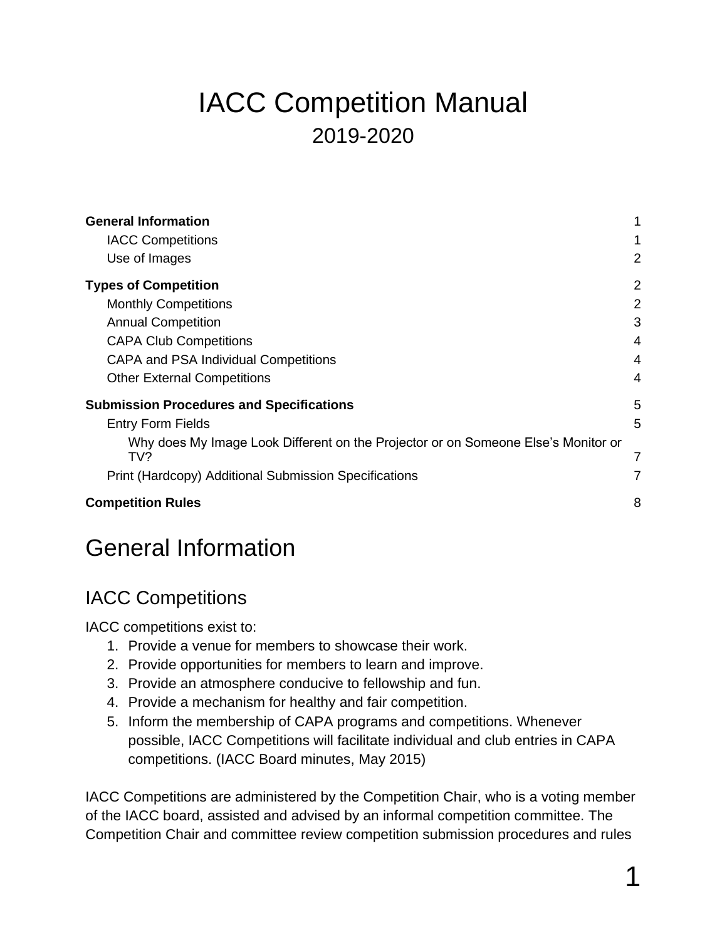# IACC Competition Manual 2019-2020

| <b>General Information</b>                                                               | 1              |
|------------------------------------------------------------------------------------------|----------------|
| <b>IACC Competitions</b>                                                                 | 1              |
| Use of Images                                                                            | $\overline{2}$ |
| <b>Types of Competition</b>                                                              | 2              |
| <b>Monthly Competitions</b>                                                              | 2              |
| <b>Annual Competition</b>                                                                | 3              |
| <b>CAPA Club Competitions</b>                                                            | 4              |
| <b>CAPA and PSA Individual Competitions</b>                                              | 4              |
| <b>Other External Competitions</b>                                                       | 4              |
| <b>Submission Procedures and Specifications</b>                                          | 5              |
| <b>Entry Form Fields</b>                                                                 | 5              |
| Why does My Image Look Different on the Projector or on Someone Else's Monitor or<br>TV? | 7              |
| Print (Hardcopy) Additional Submission Specifications                                    | 7              |
| <b>Competition Rules</b>                                                                 | 8              |

# <span id="page-0-0"></span>General Information

### <span id="page-0-1"></span>IACC Competitions

IACC competitions exist to:

- 1. Provide a venue for members to showcase their work.
- 2. Provide opportunities for members to learn and improve.
- 3. Provide an atmosphere conducive to fellowship and fun.
- 4. Provide a mechanism for healthy and fair competition.
- 5. Inform the membership of CAPA programs and competitions. Whenever possible, IACC Competitions will facilitate individual and club entries in CAPA competitions. (IACC Board minutes, May 2015)

IACC Competitions are administered by the Competition Chair, who is a voting member of the IACC board, assisted and advised by an informal competition committee. The Competition Chair and committee review competition submission procedures and rules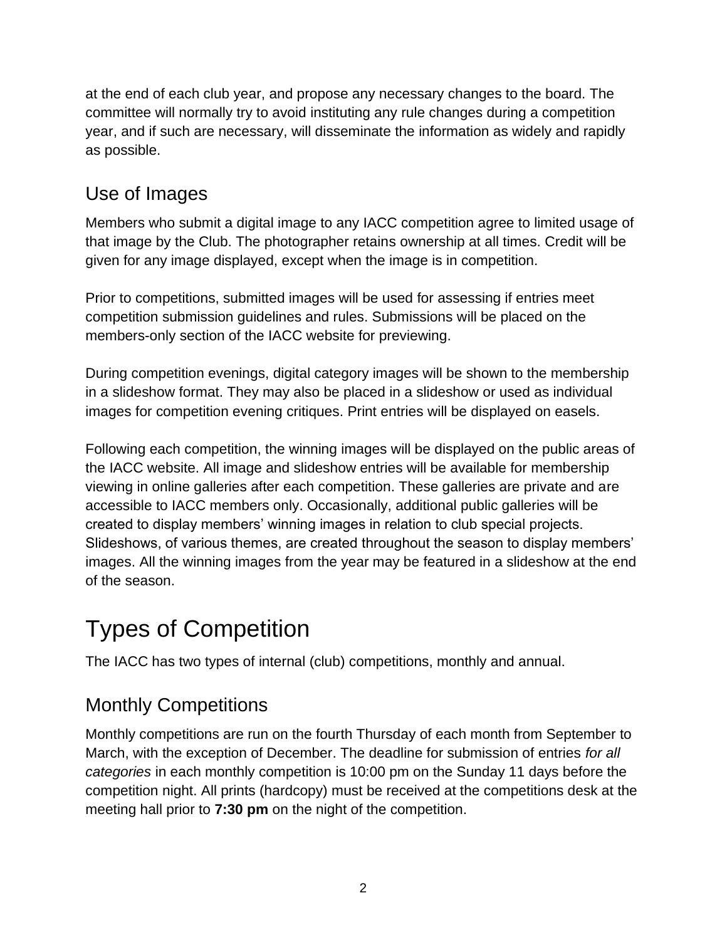at the end of each club year, and propose any necessary changes to the board. The committee will normally try to avoid instituting any rule changes during a competition year, and if such are necessary, will disseminate the information as widely and rapidly as possible.

### <span id="page-1-0"></span>Use of Images

Members who submit a digital image to any IACC competition agree to limited usage of that image by the Club. The photographer retains ownership at all times. Credit will be given for any image displayed, except when the image is in competition.

Prior to competitions, submitted images will be used for assessing if entries meet competition submission guidelines and rules. Submissions will be placed on the members-only section of the IACC website for previewing.

During competition evenings, digital category images will be shown to the membership in a slideshow format. They may also be placed in a slideshow or used as individual images for competition evening critiques. Print entries will be displayed on easels.

Following each competition, the winning images will be displayed on the public areas of the IACC website. All image and slideshow entries will be available for membership viewing in online galleries after each competition. These galleries are private and are accessible to IACC members only. Occasionally, additional public galleries will be created to display members' winning images in relation to club special projects. Slideshows, of various themes, are created throughout the season to display members' images. All the winning images from the year may be featured in a slideshow at the end of the season.

# <span id="page-1-1"></span>Types of Competition

The IACC has two types of internal (club) competitions, monthly and annual.

## <span id="page-1-2"></span>Monthly Competitions

Monthly competitions are run on the fourth Thursday of each month from September to March, with the exception of December. The deadline for submission of entries *for all categories* in each monthly competition is 10:00 pm on the Sunday 11 days before the competition night. All prints (hardcopy) must be received at the competitions desk at the meeting hall prior to **7:30 pm** on the night of the competition.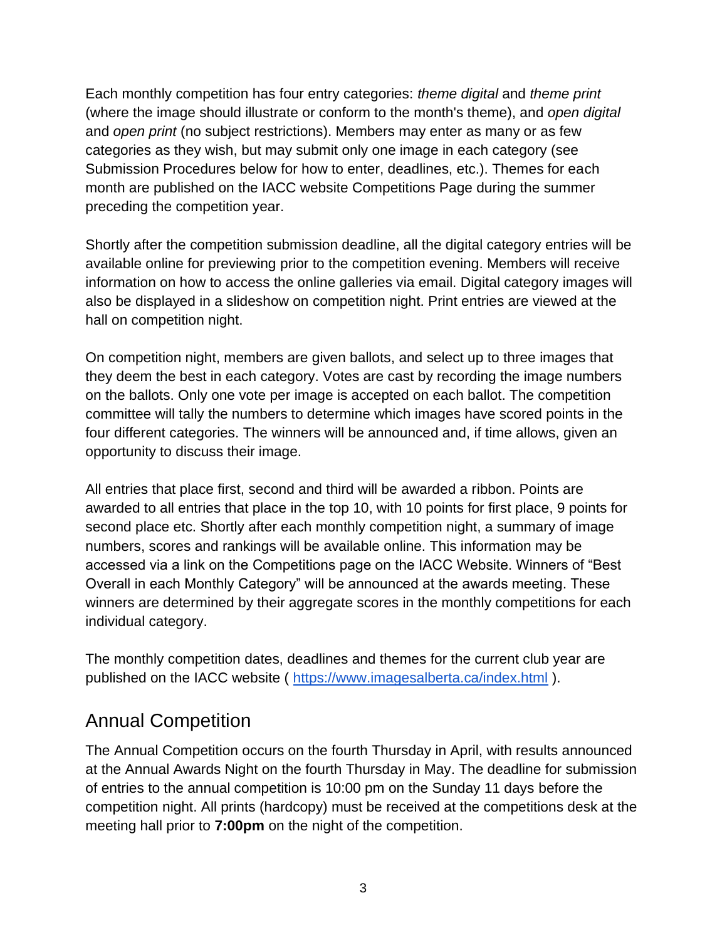Each monthly competition has four entry categories: *theme digital* and *theme print* (where the image should illustrate or conform to the month's theme), and *open digital* and *open print* (no subject restrictions). Members may enter as many or as few categories as they wish, but may submit only one image in each category (see Submission Procedures below for how to enter, deadlines, etc.). Themes for each month are published on the IACC website Competitions Page during the summer preceding the competition year.

Shortly after the competition submission deadline, all the digital category entries will be available online for previewing prior to the competition evening. Members will receive information on how to access the online galleries via email. Digital category images will also be displayed in a slideshow on competition night. Print entries are viewed at the hall on competition night.

On competition night, members are given ballots, and select up to three images that they deem the best in each category. Votes are cast by recording the image numbers on the ballots. Only one vote per image is accepted on each ballot. The competition committee will tally the numbers to determine which images have scored points in the four different categories. The winners will be announced and, if time allows, given an opportunity to discuss their image.

All entries that place first, second and third will be awarded a ribbon. Points are awarded to all entries that place in the top 10, with 10 points for first place, 9 points for second place etc. Shortly after each monthly competition night, a summary of image numbers, scores and rankings will be available online. This information may be accessed via a link on the Competitions page on the IACC Website. Winners of "Best Overall in each Monthly Category" will be announced at the awards meeting. These winners are determined by their aggregate scores in the monthly competitions for each individual category.

The monthly competition dates, deadlines and themes for the current club year are published on the IACC website (<https://www.imagesalberta.ca/index.html> ).

#### <span id="page-2-0"></span>Annual Competition

The Annual Competition occurs on the fourth Thursday in April, with results announced at the Annual Awards Night on the fourth Thursday in May. The deadline for submission of entries to the annual competition is 10:00 pm on the Sunday 11 days before the competition night. All prints (hardcopy) must be received at the competitions desk at the meeting hall prior to **7:00pm** on the night of the competition.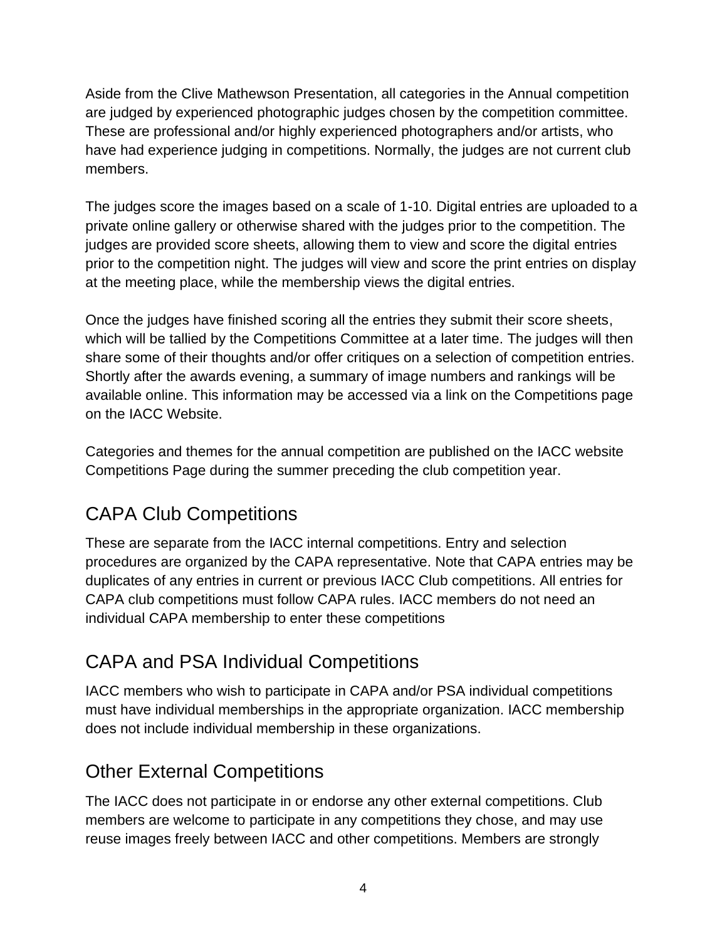Aside from the Clive Mathewson Presentation, all categories in the Annual competition are judged by experienced photographic judges chosen by the competition committee. These are professional and/or highly experienced photographers and/or artists, who have had experience judging in competitions. Normally, the judges are not current club members.

The judges score the images based on a scale of 1-10. Digital entries are uploaded to a private online gallery or otherwise shared with the judges prior to the competition. The judges are provided score sheets, allowing them to view and score the digital entries prior to the competition night. The judges will view and score the print entries on display at the meeting place, while the membership views the digital entries.

Once the judges have finished scoring all the entries they submit their score sheets, which will be tallied by the Competitions Committee at a later time. The judges will then share some of their thoughts and/or offer critiques on a selection of competition entries. Shortly after the awards evening, a summary of image numbers and rankings will be available online. This information may be accessed via a link on the Competitions page on the IACC Website.

Categories and themes for the annual competition are published on the IACC website Competitions Page during the summer preceding the club competition year.

## <span id="page-3-0"></span>CAPA Club Competitions

These are separate from the IACC internal competitions. Entry and selection procedures are organized by the CAPA representative. Note that CAPA entries may be duplicates of any entries in current or previous IACC Club competitions. All entries for CAPA club competitions must follow CAPA rules. IACC members do not need an individual CAPA membership to enter these competitions

## <span id="page-3-1"></span>CAPA and PSA Individual Competitions

IACC members who wish to participate in CAPA and/or PSA individual competitions must have individual memberships in the appropriate organization. IACC membership does not include individual membership in these organizations.

### <span id="page-3-2"></span>Other External Competitions

The IACC does not participate in or endorse any other external competitions. Club members are welcome to participate in any competitions they chose, and may use reuse images freely between IACC and other competitions. Members are strongly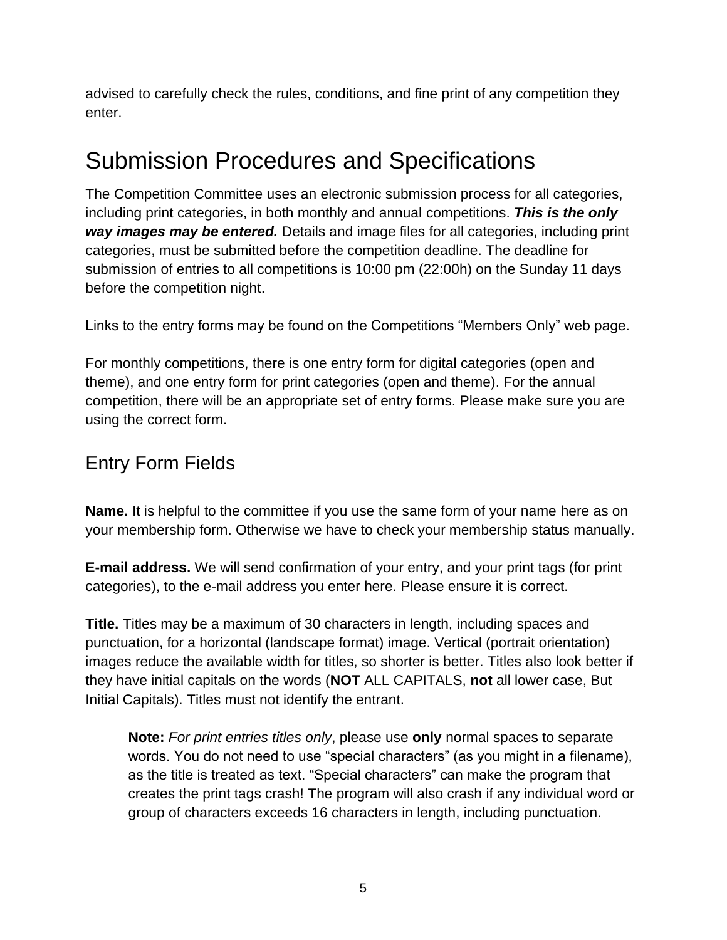advised to carefully check the rules, conditions, and fine print of any competition they enter.

# <span id="page-4-0"></span>Submission Procedures and Specifications

The Competition Committee uses an electronic submission process for all categories, including print categories, in both monthly and annual competitions. *This is the only way images may be entered.* Details and image files for all categories, including print categories, must be submitted before the competition deadline. The deadline for submission of entries to all competitions is 10:00 pm (22:00h) on the Sunday 11 days before the competition night.

Links to the entry forms may be found on the Competitions "Members Only" web page.

For monthly competitions, there is one entry form for digital categories (open and theme), and one entry form for print categories (open and theme). For the annual competition, there will be an appropriate set of entry forms. Please make sure you are using the correct form.

### <span id="page-4-1"></span>Entry Form Fields

**Name.** It is helpful to the committee if you use the same form of your name here as on your membership form. Otherwise we have to check your membership status manually.

**E-mail address.** We will send confirmation of your entry, and your print tags (for print categories), to the e-mail address you enter here. Please ensure it is correct.

**Title.** Titles may be a maximum of 30 characters in length, including spaces and punctuation, for a horizontal (landscape format) image. Vertical (portrait orientation) images reduce the available width for titles, so shorter is better. Titles also look better if they have initial capitals on the words (**NOT** ALL CAPITALS, **not** all lower case, But Initial Capitals). Titles must not identify the entrant.

**Note:** *For print entries titles only*, please use **only** normal spaces to separate words. You do not need to use "special characters" (as you might in a filename), as the title is treated as text. "Special characters" can make the program that creates the print tags crash! The program will also crash if any individual word or group of characters exceeds 16 characters in length, including punctuation.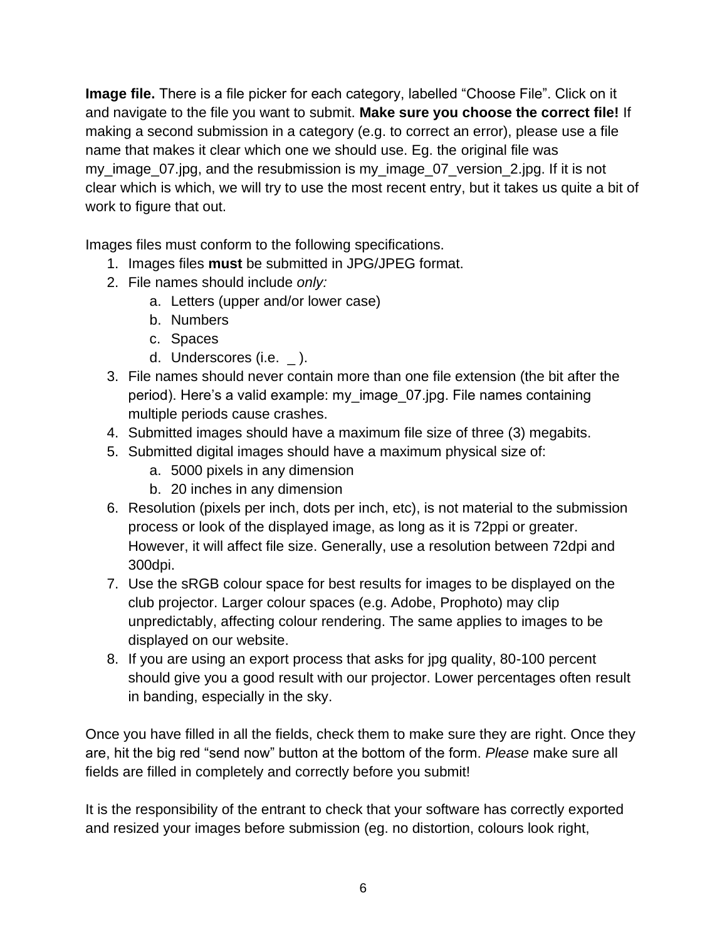**Image file.** There is a file picker for each category, labelled "Choose File". Click on it and navigate to the file you want to submit. **Make sure you choose the correct file!** If making a second submission in a category (e.g. to correct an error), please use a file name that makes it clear which one we should use. Eg. the original file was my\_image\_07.jpg, and the resubmission is my\_image\_07\_version\_2.jpg. If it is not clear which is which, we will try to use the most recent entry, but it takes us quite a bit of work to figure that out.

Images files must conform to the following specifications.

- 1. Images files **must** be submitted in JPG/JPEG format.
- 2. File names should include *only:*
	- a. Letters (upper and/or lower case)
	- b. Numbers
	- c. Spaces
	- d. Underscores (i.e.  $\Box$ ).
- 3. File names should never contain more than one file extension (the bit after the period). Here's a valid example: my\_image\_07.jpg. File names containing multiple periods cause crashes.
- 4. Submitted images should have a maximum file size of three (3) megabits.
- 5. Submitted digital images should have a maximum physical size of:
	- a. 5000 pixels in any dimension
	- b. 20 inches in any dimension
- 6. Resolution (pixels per inch, dots per inch, etc), is not material to the submission process or look of the displayed image, as long as it is 72ppi or greater. However, it will affect file size. Generally, use a resolution between 72dpi and 300dpi.
- 7. Use the sRGB colour space for best results for images to be displayed on the club projector. Larger colour spaces (e.g. Adobe, Prophoto) may clip unpredictably, affecting colour rendering. The same applies to images to be displayed on our website.
- 8. If you are using an export process that asks for jpg quality, 80-100 percent should give you a good result with our projector. Lower percentages often result in banding, especially in the sky.

Once you have filled in all the fields, check them to make sure they are right. Once they are, hit the big red "send now" button at the bottom of the form. *Please* make sure all fields are filled in completely and correctly before you submit!

It is the responsibility of the entrant to check that your software has correctly exported and resized your images before submission (eg. no distortion, colours look right,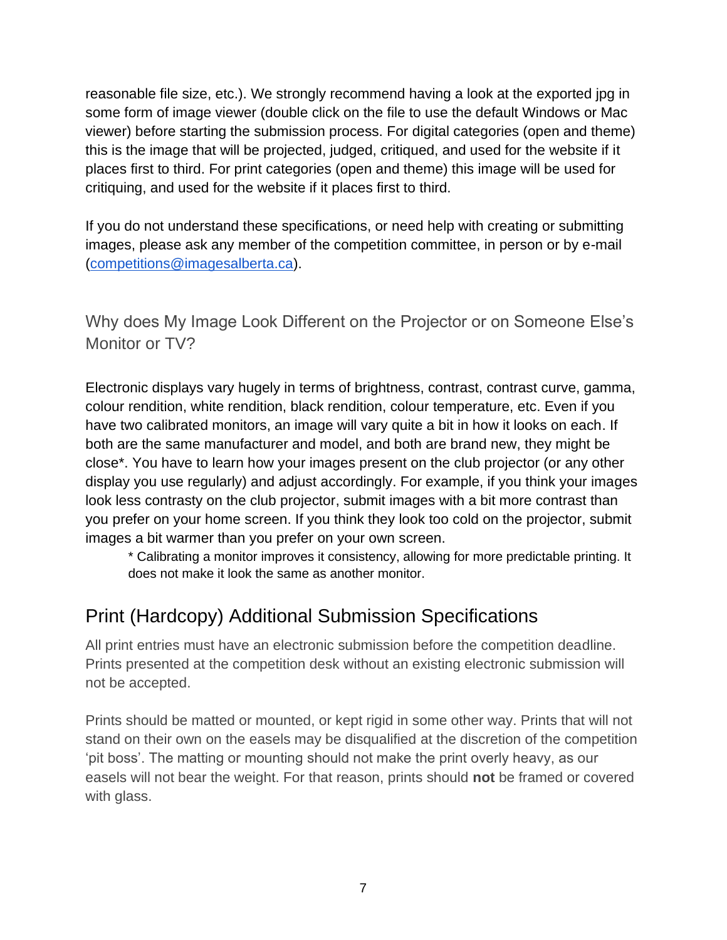reasonable file size, etc.). We strongly recommend having a look at the exported jpg in some form of image viewer (double click on the file to use the default Windows or Mac viewer) before starting the submission process. For digital categories (open and theme) this is the image that will be projected, judged, critiqued, and used for the website if it places first to third. For print categories (open and theme) this image will be used for critiquing, and used for the website if it places first to third.

If you do not understand these specifications, or need help with creating or submitting images, please ask any member of the competition committee, in person or by e-mail [\(competitions@imagesalberta.ca\)](mailto:competitions@imagesalberta.ca).

<span id="page-6-0"></span>Why does My Image Look Different on the Projector or on Someone Else's Monitor or TV?

Electronic displays vary hugely in terms of brightness, contrast, contrast curve, gamma, colour rendition, white rendition, black rendition, colour temperature, etc. Even if you have two calibrated monitors, an image will vary quite a bit in how it looks on each. If both are the same manufacturer and model, and both are brand new, they might be close\*. You have to learn how your images present on the club projector (or any other display you use regularly) and adjust accordingly. For example, if you think your images look less contrasty on the club projector, submit images with a bit more contrast than you prefer on your home screen. If you think they look too cold on the projector, submit images a bit warmer than you prefer on your own screen.

\* Calibrating a monitor improves it consistency, allowing for more predictable printing. It does not make it look the same as another monitor.

### <span id="page-6-1"></span>Print (Hardcopy) Additional Submission Specifications

All print entries must have an electronic submission before the competition deadline. Prints presented at the competition desk without an existing electronic submission will not be accepted.

Prints should be matted or mounted, or kept rigid in some other way. Prints that will not stand on their own on the easels may be disqualified at the discretion of the competition 'pit boss'. The matting or mounting should not make the print overly heavy, as our easels will not bear the weight. For that reason, prints should **not** be framed or covered with glass.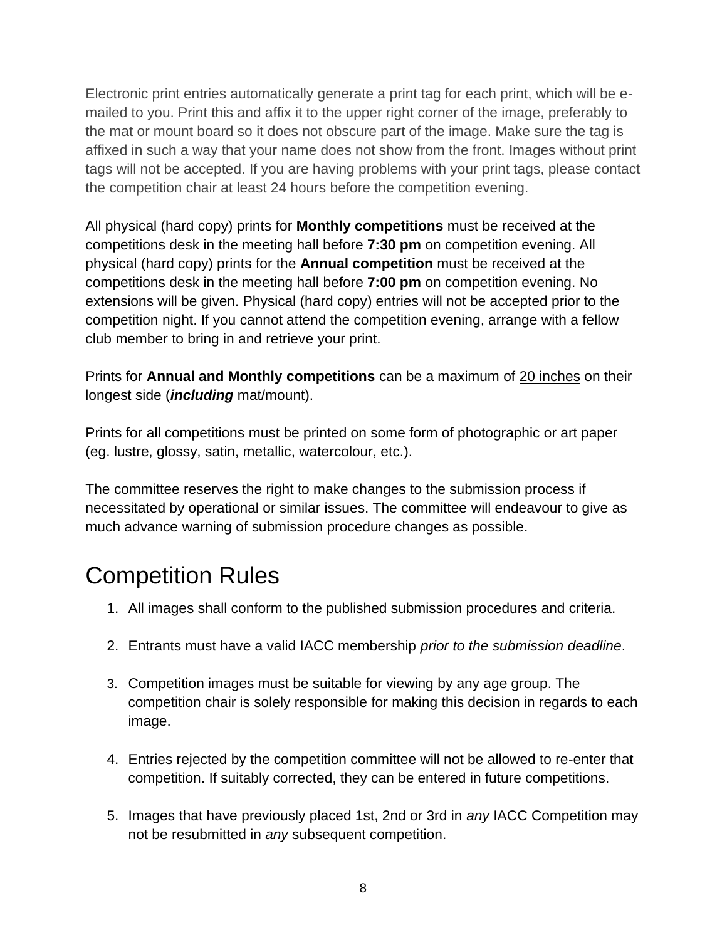Electronic print entries automatically generate a print tag for each print, which will be emailed to you. Print this and affix it to the upper right corner of the image, preferably to the mat or mount board so it does not obscure part of the image. Make sure the tag is affixed in such a way that your name does not show from the front. Images without print tags will not be accepted. If you are having problems with your print tags, please contact the competition chair at least 24 hours before the competition evening.

All physical (hard copy) prints for **Monthly competitions** must be received at the competitions desk in the meeting hall before **7:30 pm** on competition evening. All physical (hard copy) prints for the **Annual competition** must be received at the competitions desk in the meeting hall before **7:00 pm** on competition evening. No extensions will be given. Physical (hard copy) entries will not be accepted prior to the competition night. If you cannot attend the competition evening, arrange with a fellow club member to bring in and retrieve your print.

Prints for **Annual and Monthly competitions** can be a maximum of 20 inches on their longest side (*including* mat/mount).

Prints for all competitions must be printed on some form of photographic or art paper (eg. lustre, glossy, satin, metallic, watercolour, etc.).

The committee reserves the right to make changes to the submission process if necessitated by operational or similar issues. The committee will endeavour to give as much advance warning of submission procedure changes as possible.

# <span id="page-7-0"></span>Competition Rules

- 1. All images shall conform to the published submission procedures and criteria.
- 2. Entrants must have a valid IACC membership *prior to the submission deadline*.
- 3. Competition images must be suitable for viewing by any age group. The competition chair is solely responsible for making this decision in regards to each image.
- 4. Entries rejected by the competition committee will not be allowed to re-enter that competition. If suitably corrected, they can be entered in future competitions.
- 5. Images that have previously placed 1st, 2nd or 3rd in *any* IACC Competition may not be resubmitted in *any* subsequent competition.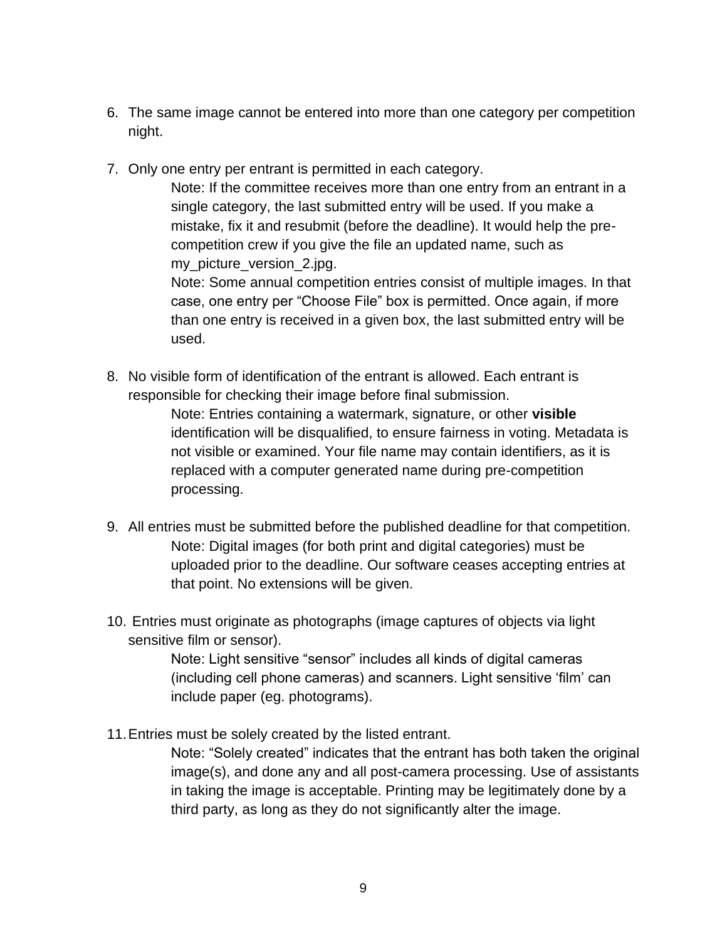- 6. The same image cannot be entered into more than one category per competition night.
- 7. Only one entry per entrant is permitted in each category.

Note: If the committee receives more than one entry from an entrant in a single category, the last submitted entry will be used. If you make a mistake, fix it and resubmit (before the deadline). It would help the precompetition crew if you give the file an updated name, such as my\_picture\_version\_2.jpg.

Note: Some annual competition entries consist of multiple images. In that case, one entry per "Choose File" box is permitted. Once again, if more than one entry is received in a given box, the last submitted entry will be used.

8. No visible form of identification of the entrant is allowed. Each entrant is responsible for checking their image before final submission.

> Note: Entries containing a watermark, signature, or other **visible** identification will be disqualified, to ensure fairness in voting. Metadata is not visible or examined. Your file name may contain identifiers, as it is replaced with a computer generated name during pre-competition processing.

- 9. All entries must be submitted before the published deadline for that competition. Note: Digital images (for both print and digital categories) must be uploaded prior to the deadline. Our software ceases accepting entries at that point. No extensions will be given.
- 10. Entries must originate as photographs (image captures of objects via light sensitive film or sensor).

Note: Light sensitive "sensor" includes all kinds of digital cameras (including cell phone cameras) and scanners. Light sensitive 'film' can include paper (eg. photograms).

11.Entries must be solely created by the listed entrant.

Note: "Solely created" indicates that the entrant has both taken the original image(s), and done any and all post-camera processing. Use of assistants in taking the image is acceptable. Printing may be legitimately done by a third party, as long as they do not significantly alter the image.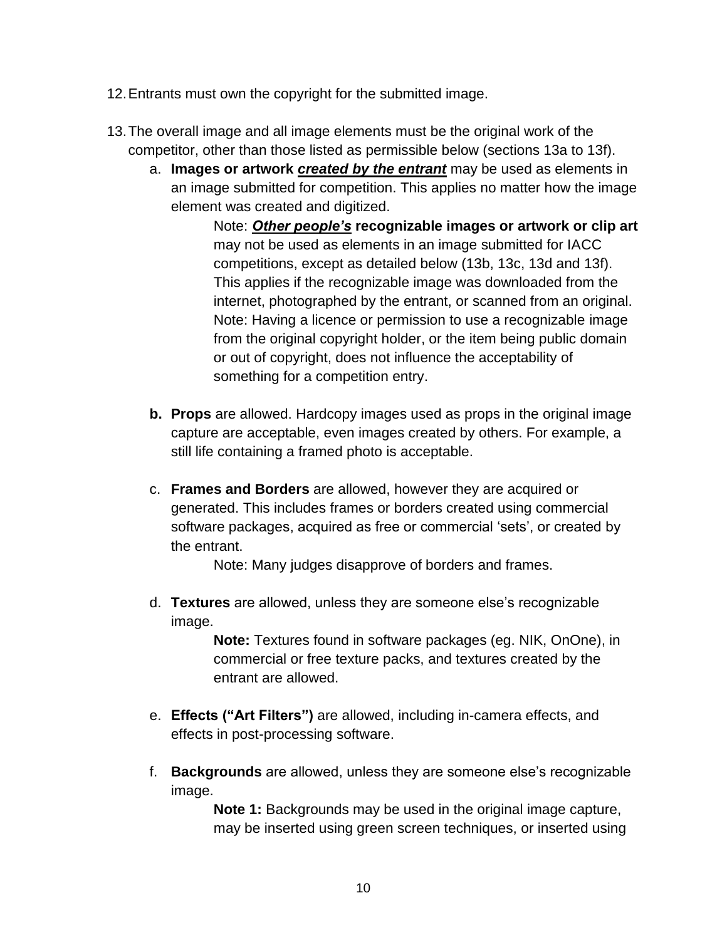- 12.Entrants must own the copyright for the submitted image.
- 13.The overall image and all image elements must be the original work of the competitor, other than those listed as permissible below (sections 13a to 13f).
	- a. **Images or artwork** *created by the entrant* may be used as elements in an image submitted for competition. This applies no matter how the image element was created and digitized.

Note: *Other people's* **recognizable images or artwork or clip art** may not be used as elements in an image submitted for IACC competitions, except as detailed below (13b, 13c, 13d and 13f). This applies if the recognizable image was downloaded from the internet, photographed by the entrant, or scanned from an original. Note: Having a licence or permission to use a recognizable image from the original copyright holder, or the item being public domain or out of copyright, does not influence the acceptability of something for a competition entry.

- **b. Props** are allowed. Hardcopy images used as props in the original image capture are acceptable, even images created by others. For example, a still life containing a framed photo is acceptable.
- c. **Frames and Borders** are allowed, however they are acquired or generated. This includes frames or borders created using commercial software packages, acquired as free or commercial 'sets', or created by the entrant.

Note: Many judges disapprove of borders and frames.

d. **Textures** are allowed, unless they are someone else's recognizable image.

> **Note:** Textures found in software packages (eg. NIK, OnOne), in commercial or free texture packs, and textures created by the entrant are allowed.

- e. **Effects ("Art Filters")** are allowed, including in-camera effects, and effects in post-processing software.
- f. **Backgrounds** are allowed, unless they are someone else's recognizable image.

**Note 1:** Backgrounds may be used in the original image capture, may be inserted using green screen techniques, or inserted using